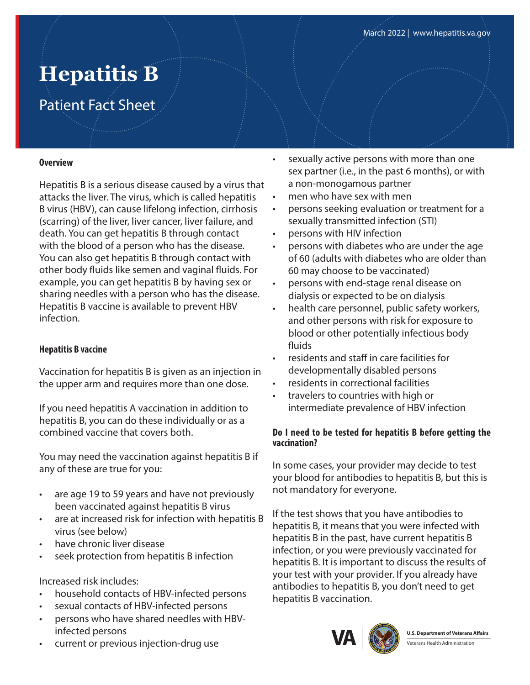# **Hepatitis B**

# Patient Fact Sheet

#### **Overview**

Hepatitis B is a serious disease caused by a virus that attacks the liver. The virus, which is called hepatitis B virus (HBV), can cause lifelong infection, cirrhosis (scarring) of the liver, liver cancer, liver failure, and death. You can get hepatitis B through contact with the blood of a person who has the disease. You can also get hepatitis B through contact with other body fluids like semen and vaginal fluids. For example, you can get hepatitis B by having sex or sharing needles with a person who has the disease. Hepatitis B vaccine is available to prevent HBV infection.

# **Hepatitis B vaccine**

Vaccination for hepatitis B is given as an injection in the upper arm and requires more than one dose.

If you need hepatitis A vaccination in addition to hepatitis B, you can do these individually or as a combined vaccine that covers both.

You may need the vaccination against hepatitis B if any of these are true for you:

- are age 19 to 59 years and have not previously been vaccinated against hepatitis B virus
- are at increased risk for infection with hepatitis B virus (see below)
- have chronic liver disease
- seek protection from hepatitis B infection

# Increased risk includes:

- household contacts of HBV-infected persons
- sexual contacts of HBV-infected persons
- persons who have shared needles with HBVinfected persons
- current or previous injection-drug use
- sexually active persons with more than one sex partner (i.e., in the past 6 months), or with a non-monogamous partner
- men who have sex with men
- persons seeking evaluation or treatment for a sexually transmitted infection (STI)
- persons with HIV infection
- persons with diabetes who are under the age of 60 (adults with diabetes who are older than 60 may choose to be vaccinated)
- persons with end-stage renal disease on dialysis or expected to be on dialysis
- health care personnel, public safety workers, and other persons with risk for exposure to blood or other potentially infectious body fluids
- residents and staff in care facilities for developmentally disabled persons
- residents in correctional facilities
- travelers to countries with high or intermediate prevalence of HBV infection

#### **Do I need to be tested for hepatitis B before getting the vaccination?**

In some cases, your provider may decide to test your blood for antibodies to hepatitis B, but this is not mandatory for everyone.

If the test shows that you have antibodies to hepatitis B, it means that you were infected with hepatitis B in the past, have current hepatitis B infection, or you were previously vaccinated for hepatitis B. It is important to discuss the results of your test with your provider. If you already have antibodies to hepatitis B, you don't need to get hepatitis B vaccination.



**U.S. Department of Veterans Affairs** *<u><u><b>I</u> <u>Aterans Health Administration</u>*</u>